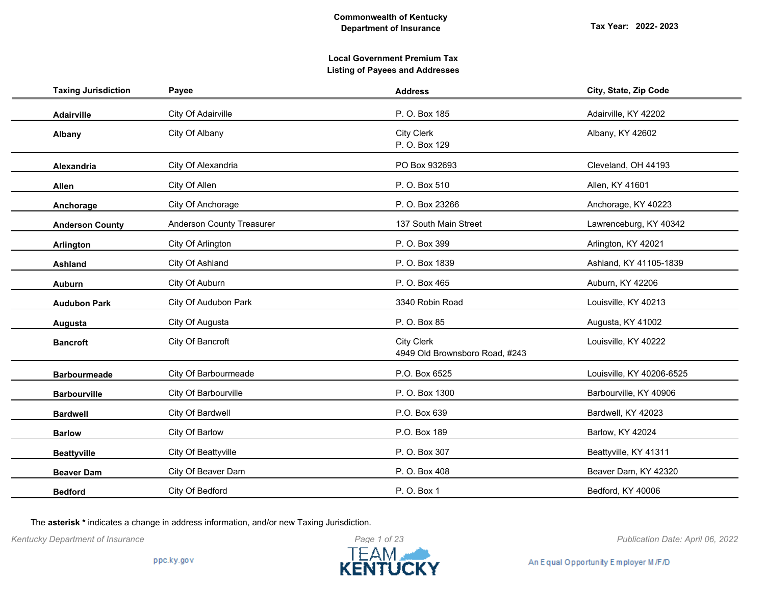# **Local Government Premium Tax Listing of Payees and Addresses**

| <b>Taxing Jurisdiction</b> | Payee                     | <b>Address</b>                                      | City, State, Zip Code     |
|----------------------------|---------------------------|-----------------------------------------------------|---------------------------|
| Adairville                 | City Of Adairville        | P. O. Box 185                                       | Adairville, KY 42202      |
| Albany                     | City Of Albany            | <b>City Clerk</b><br>P. O. Box 129                  | Albany, KY 42602          |
| Alexandria                 | City Of Alexandria        | PO Box 932693                                       | Cleveland, OH 44193       |
| Allen                      | City Of Allen             | P. O. Box 510                                       | Allen, KY 41601           |
| Anchorage                  | City Of Anchorage         | P. O. Box 23266                                     | Anchorage, KY 40223       |
| <b>Anderson County</b>     | Anderson County Treasurer | 137 South Main Street                               | Lawrenceburg, KY 40342    |
| <b>Arlington</b>           | City Of Arlington         | P. O. Box 399                                       | Arlington, KY 42021       |
| <b>Ashland</b>             | City Of Ashland           | P. O. Box 1839                                      | Ashland, KY 41105-1839    |
| <b>Auburn</b>              | City Of Auburn            | P. O. Box 465                                       | Auburn, KY 42206          |
| <b>Audubon Park</b>        | City Of Audubon Park      | 3340 Robin Road                                     | Louisville, KY 40213      |
| Augusta                    | City Of Augusta           | P. O. Box 85                                        | Augusta, KY 41002         |
| <b>Bancroft</b>            | City Of Bancroft          | <b>City Clerk</b><br>4949 Old Brownsboro Road, #243 | Louisville, KY 40222      |
| <b>Barbourmeade</b>        | City Of Barbourmeade      | P.O. Box 6525                                       | Louisville, KY 40206-6525 |
| <b>Barbourville</b>        | City Of Barbourville      | P. O. Box 1300                                      | Barbourville, KY 40906    |
| <b>Bardwell</b>            | City Of Bardwell          | P.O. Box 639                                        | Bardwell, KY 42023        |
| <b>Barlow</b>              | City Of Barlow            | P.O. Box 189                                        | Barlow, KY 42024          |
| <b>Beattyville</b>         | City Of Beattyville       | P. O. Box 307                                       | Beattyville, KY 41311     |
| <b>Beaver Dam</b>          | City Of Beaver Dam        | P. O. Box 408                                       | Beaver Dam, KY 42320      |
| <b>Bedford</b>             | City Of Bedford           | P. O. Box 1                                         | Bedford, KY 40006         |

The **asterisk \*** indicates a change in address information, and/or new Taxing Jurisdiction.

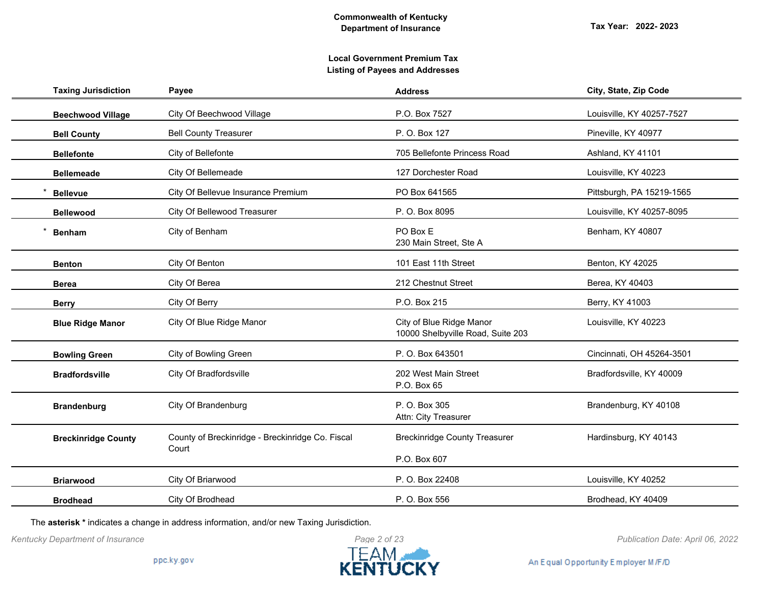| <b>Taxing Jurisdiction</b> | Payee                                                     | <b>Address</b>                                                | City, State, Zip Code     |
|----------------------------|-----------------------------------------------------------|---------------------------------------------------------------|---------------------------|
| <b>Beechwood Village</b>   | City Of Beechwood Village                                 | P.O. Box 7527                                                 | Louisville, KY 40257-7527 |
| <b>Bell County</b>         | <b>Bell County Treasurer</b>                              | P. O. Box 127                                                 | Pineville, KY 40977       |
| <b>Bellefonte</b>          | City of Bellefonte                                        | 705 Bellefonte Princess Road                                  | Ashland, KY 41101         |
| <b>Bellemeade</b>          | City Of Bellemeade                                        | 127 Dorchester Road                                           | Louisville, KY 40223      |
| <b>Bellevue</b>            | City Of Bellevue Insurance Premium                        | PO Box 641565                                                 | Pittsburgh, PA 15219-1565 |
| <b>Bellewood</b>           | City Of Bellewood Treasurer                               | P. O. Box 8095                                                | Louisville, KY 40257-8095 |
| <b>Benham</b>              | City of Benham                                            | PO Box E<br>230 Main Street, Ste A                            | Benham, KY 40807          |
| <b>Benton</b>              | City Of Benton                                            | 101 East 11th Street                                          | Benton, KY 42025          |
| <b>Berea</b>               | City Of Berea                                             | 212 Chestnut Street                                           | Berea, KY 40403           |
| <b>Berry</b>               | City Of Berry                                             | P.O. Box 215                                                  | Berry, KY 41003           |
| <b>Blue Ridge Manor</b>    | City Of Blue Ridge Manor                                  | City of Blue Ridge Manor<br>10000 Shelbyville Road, Suite 203 | Louisville, KY 40223      |
| <b>Bowling Green</b>       | City of Bowling Green                                     | P. O. Box 643501                                              | Cincinnati, OH 45264-3501 |
| <b>Bradfordsville</b>      | City Of Bradfordsville                                    | 202 West Main Street<br>P.O. Box 65                           | Bradfordsville, KY 40009  |
| <b>Brandenburg</b>         | City Of Brandenburg                                       | P. O. Box 305<br>Attn: City Treasurer                         | Brandenburg, KY 40108     |
| <b>Breckinridge County</b> | County of Breckinridge - Breckinridge Co. Fiscal<br>Court | <b>Breckinridge County Treasurer</b>                          | Hardinsburg, KY 40143     |
|                            |                                                           | P.O. Box 607                                                  |                           |
| <b>Briarwood</b>           | City Of Briarwood                                         | P. O. Box 22408                                               | Louisville, KY 40252      |
| <b>Brodhead</b>            | City Of Brodhead                                          | P. O. Box 556                                                 | Brodhead, KY 40409        |
|                            |                                                           |                                                               |                           |

The **asterisk \*** indicates a change in address information, and/or new Taxing Jurisdiction.

*Kentucky Department of Insurance Publication Date: April 06, 2022*

An Equal Opportunity Employer M/F/D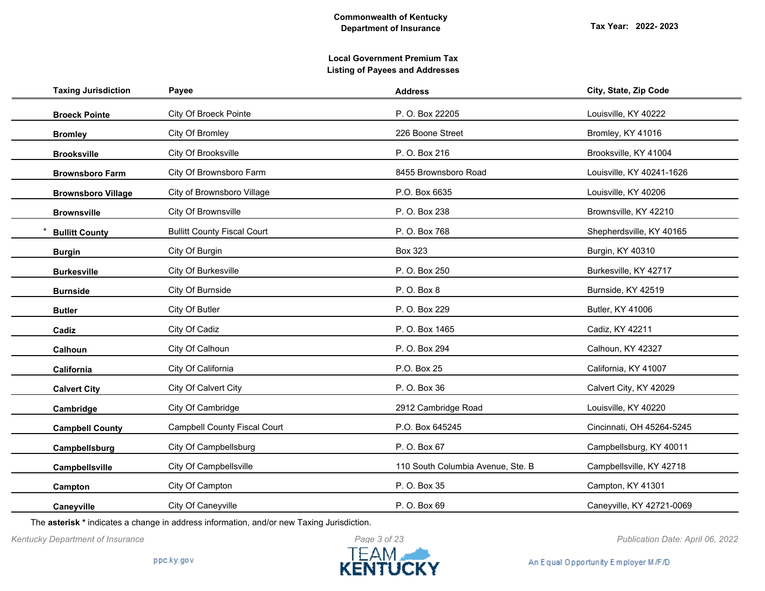| <b>Taxing Jurisdiction</b> | Payee                               | <b>Address</b>                    | City, State, Zip Code     |
|----------------------------|-------------------------------------|-----------------------------------|---------------------------|
| <b>Broeck Pointe</b>       | City Of Broeck Pointe               | P. O. Box 22205                   | Louisville, KY 40222      |
| <b>Bromley</b>             | City Of Bromley                     | 226 Boone Street                  | Bromley, KY 41016         |
| <b>Brooksville</b>         | City Of Brooksville                 | P. O. Box 216                     | Brooksville, KY 41004     |
| <b>Brownsboro Farm</b>     | City Of Brownsboro Farm             | 8455 Brownsboro Road              | Louisville, KY 40241-1626 |
| <b>Brownsboro Village</b>  | City of Brownsboro Village          | P.O. Box 6635                     | Louisville, KY 40206      |
| <b>Brownsville</b>         | City Of Brownsville                 | P. O. Box 238                     | Brownsville, KY 42210     |
| <b>Bullitt County</b>      | <b>Bullitt County Fiscal Court</b>  | P. O. Box 768                     | Shepherdsville, KY 40165  |
| <b>Burgin</b>              | City Of Burgin                      | <b>Box 323</b>                    | Burgin, KY 40310          |
| <b>Burkesville</b>         | City Of Burkesville                 | P. O. Box 250                     | Burkesville, KY 42717     |
| <b>Burnside</b>            | City Of Burnside                    | P. O. Box 8                       | Burnside, KY 42519        |
| <b>Butler</b>              | City Of Butler                      | P. O. Box 229                     | Butler, KY 41006          |
| Cadiz                      | City Of Cadiz                       | P. O. Box 1465                    | Cadiz, KY 42211           |
| Calhoun                    | City Of Calhoun                     | P. O. Box 294                     | Calhoun, KY 42327         |
| California                 | City Of California                  | P.O. Box 25                       | California, KY 41007      |
| <b>Calvert City</b>        | City Of Calvert City                | P. O. Box 36                      | Calvert City, KY 42029    |
| Cambridge                  | City Of Cambridge                   | 2912 Cambridge Road               | Louisville, KY 40220      |
| <b>Campbell County</b>     | <b>Campbell County Fiscal Court</b> | P.O. Box 645245                   | Cincinnati, OH 45264-5245 |
| Campbellsburg              | City Of Campbellsburg               | P. O. Box 67                      | Campbellsburg, KY 40011   |
| Campbellsville             | City Of Campbellsville              | 110 South Columbia Avenue, Ste. B | Campbellsville, KY 42718  |
| Campton                    | City Of Campton                     | P. O. Box 35                      | Campton, KY 41301         |
| Caneyville                 | City Of Caneyville                  | P. O. Box 69                      | Caneyville, KY 42721-0069 |

The **asterisk \*** indicates a change in address information, and/or new Taxing Jurisdiction.

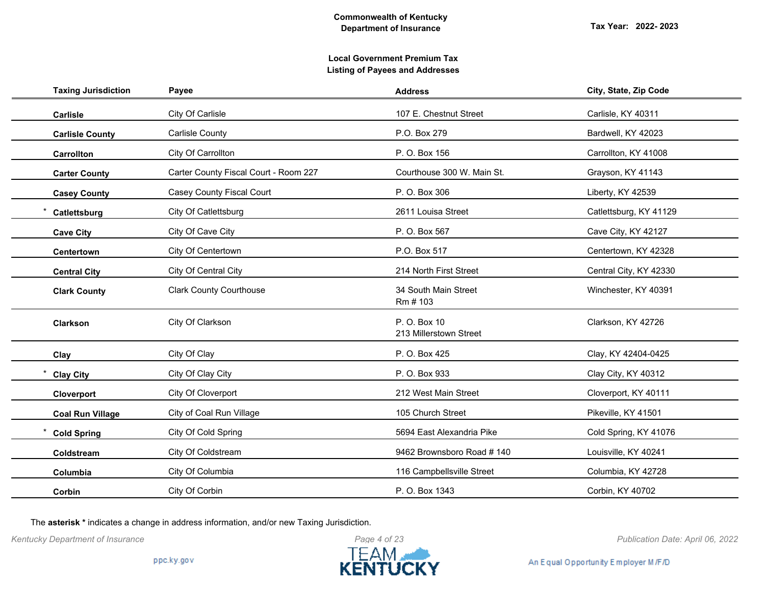# **Local Government Premium Tax Listing of Payees and Addresses**

| <b>Taxing Jurisdiction</b> | Payee                                 | <b>Address</b>                         | City, State, Zip Code  |
|----------------------------|---------------------------------------|----------------------------------------|------------------------|
| <b>Carlisle</b>            | City Of Carlisle                      | 107 E. Chestnut Street                 | Carlisle, KY 40311     |
| <b>Carlisle County</b>     | Carlisle County                       | P.O. Box 279                           | Bardwell, KY 42023     |
| <b>Carrollton</b>          | City Of Carrollton                    | P. O. Box 156                          | Carrollton, KY 41008   |
| <b>Carter County</b>       | Carter County Fiscal Court - Room 227 | Courthouse 300 W. Main St.             | Grayson, KY 41143      |
| <b>Casey County</b>        | Casey County Fiscal Court             | P. O. Box 306                          | Liberty, KY 42539      |
| Catlettsburg               | City Of Catlettsburg                  | 2611 Louisa Street                     | Catlettsburg, KY 41129 |
| <b>Cave City</b>           | City Of Cave City                     | P. O. Box 567                          | Cave City, KY 42127    |
| Centertown                 | City Of Centertown                    | P.O. Box 517                           | Centertown, KY 42328   |
| <b>Central City</b>        | City Of Central City                  | 214 North First Street                 | Central City, KY 42330 |
| <b>Clark County</b>        | <b>Clark County Courthouse</b>        | 34 South Main Street<br>Rm # 103       | Winchester, KY 40391   |
| Clarkson                   | City Of Clarkson                      | P. O. Box 10<br>213 Millerstown Street | Clarkson, KY 42726     |
| Clay                       | City Of Clay                          | P. O. Box 425                          | Clay, KY 42404-0425    |
| <b>Clay City</b>           | City Of Clay City                     | P. O. Box 933                          | Clay City, KY 40312    |
| Cloverport                 | City Of Cloverport                    | 212 West Main Street                   | Cloverport, KY 40111   |
| <b>Coal Run Village</b>    | City of Coal Run Village              | 105 Church Street                      | Pikeville, KY 41501    |
| <b>Cold Spring</b>         | City Of Cold Spring                   | 5694 East Alexandria Pike              | Cold Spring, KY 41076  |
| Coldstream                 | City Of Coldstream                    | 9462 Brownsboro Road #140              | Louisville, KY 40241   |
| Columbia                   | City Of Columbia                      | 116 Campbellsville Street              | Columbia, KY 42728     |
| Corbin                     | City Of Corbin                        | P. O. Box 1343                         | Corbin, KY 40702       |

The **asterisk \*** indicates a change in address information, and/or new Taxing Jurisdiction.

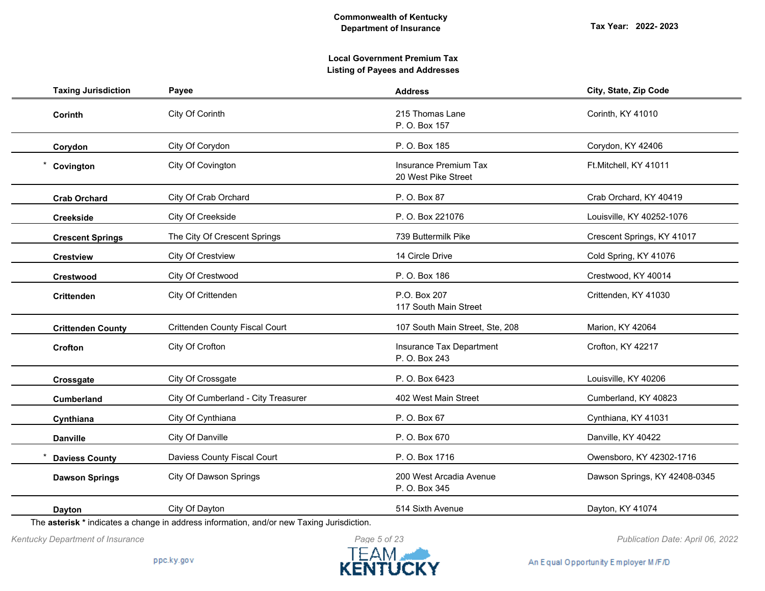# **Local Government Premium Tax Listing of Payees and Addresses**

| <b>Taxing Jurisdiction</b> | Payee                                 | <b>Address</b>                               | City, State, Zip Code         |
|----------------------------|---------------------------------------|----------------------------------------------|-------------------------------|
| Corinth                    | City Of Corinth                       | 215 Thomas Lane<br>P. O. Box 157             | Corinth, KY 41010             |
| Corydon                    | City Of Corydon                       | P. O. Box 185                                | Corydon, KY 42406             |
| Covington                  | City Of Covington                     | Insurance Premium Tax<br>20 West Pike Street | Ft.Mitchell, KY 41011         |
| <b>Crab Orchard</b>        | City Of Crab Orchard                  | P. O. Box 87                                 | Crab Orchard, KY 40419        |
| <b>Creekside</b>           | City Of Creekside                     | P. O. Box 221076                             | Louisville, KY 40252-1076     |
| <b>Crescent Springs</b>    | The City Of Crescent Springs          | 739 Buttermilk Pike                          | Crescent Springs, KY 41017    |
| <b>Crestview</b>           | City Of Crestview                     | 14 Circle Drive                              | Cold Spring, KY 41076         |
| <b>Crestwood</b>           | City Of Crestwood                     | P. O. Box 186                                | Crestwood, KY 40014           |
| <b>Crittenden</b>          | City Of Crittenden                    | P.O. Box 207<br>117 South Main Street        | Crittenden, KY 41030          |
| <b>Crittenden County</b>   | <b>Crittenden County Fiscal Court</b> | 107 South Main Street, Ste, 208              | Marion, KY 42064              |
| Crofton                    | City Of Crofton                       | Insurance Tax Department<br>P. O. Box 243    | Crofton, KY 42217             |
| Crossgate                  | City Of Crossgate                     | P. O. Box 6423                               | Louisville, KY 40206          |
| <b>Cumberland</b>          | City Of Cumberland - City Treasurer   | 402 West Main Street                         | Cumberland, KY 40823          |
| Cynthiana                  | City Of Cynthiana                     | P. O. Box 67                                 | Cynthiana, KY 41031           |
| <b>Danville</b>            | City Of Danville                      | P. O. Box 670                                | Danville, KY 40422            |
| <b>Daviess County</b>      | Daviess County Fiscal Court           | P. O. Box 1716                               | Owensboro, KY 42302-1716      |
| <b>Dawson Springs</b>      | City Of Dawson Springs                | 200 West Arcadia Avenue<br>P. O. Box 345     | Dawson Springs, KY 42408-0345 |
| Dayton                     | City Of Dayton                        | 514 Sixth Avenue                             | Dayton, KY 41074              |

The **asterisk \*** indicates a change in address information, and/or new Taxing Jurisdiction.



*Kentucky Department of Insurance Publication Date: April 06, 2022*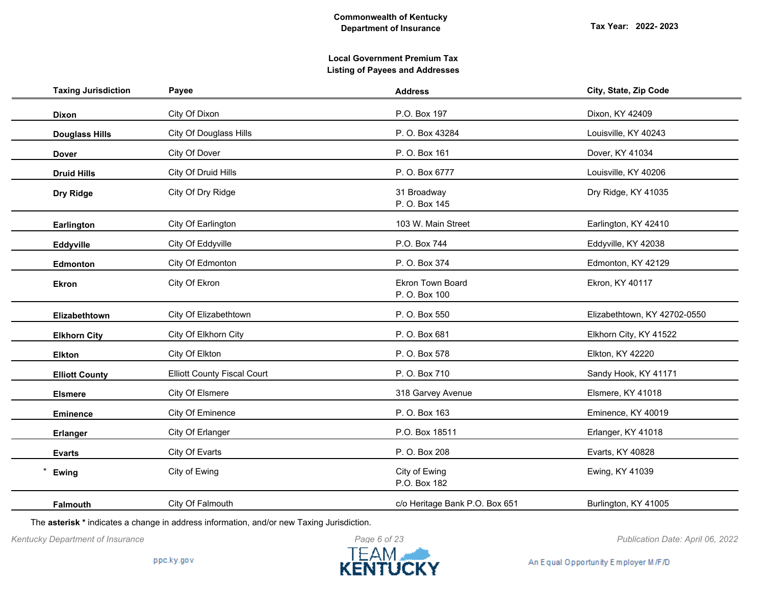| <b>Taxing Jurisdiction</b> | Payee                              | <b>Address</b>                           | City, State, Zip Code        |
|----------------------------|------------------------------------|------------------------------------------|------------------------------|
| <b>Dixon</b>               | City Of Dixon                      | P.O. Box 197                             | Dixon, KY 42409              |
| <b>Douglass Hills</b>      | City Of Douglass Hills             | P. O. Box 43284                          | Louisville, KY 40243         |
| <b>Dover</b>               | City Of Dover                      | P. O. Box 161                            | Dover, KY 41034              |
| <b>Druid Hills</b>         | City Of Druid Hills                | P. O. Box 6777                           | Louisville, KY 40206         |
| Dry Ridge                  | City Of Dry Ridge                  | 31 Broadway<br>P. O. Box 145             | Dry Ridge, KY 41035          |
| Earlington                 | City Of Earlington                 | 103 W. Main Street                       | Earlington, KY 42410         |
| Eddyville                  | City Of Eddyville                  | P.O. Box 744                             | Eddyville, KY 42038          |
| Edmonton                   | City Of Edmonton                   | P. O. Box 374                            | Edmonton, KY 42129           |
| <b>Ekron</b>               | City Of Ekron                      | <b>Ekron Town Board</b><br>P. O. Box 100 | Ekron, KY 40117              |
| Elizabethtown              | City Of Elizabethtown              | P. O. Box 550                            | Elizabethtown, KY 42702-0550 |
| <b>Elkhorn City</b>        | City Of Elkhorn City               | P. O. Box 681                            | Elkhorn City, KY 41522       |
| <b>Elkton</b>              | City Of Elkton                     | P. O. Box 578                            | Elkton, KY 42220             |
| <b>Elliott County</b>      | <b>Elliott County Fiscal Court</b> | P. O. Box 710                            | Sandy Hook, KY 41171         |
| <b>Elsmere</b>             | City Of Elsmere                    | 318 Garvey Avenue                        | Elsmere, KY 41018            |
| <b>Eminence</b>            | City Of Eminence                   | P. O. Box 163                            | Eminence, KY 40019           |
| <b>Erlanger</b>            | City Of Erlanger                   | P.O. Box 18511                           | Erlanger, KY 41018           |
| <b>Evarts</b>              | City Of Evarts                     | P. O. Box 208                            | Evarts, KY 40828             |
| Ewing                      | City of Ewing                      | City of Ewing<br>P.O. Box 182            | Ewing, KY 41039              |
| <b>Falmouth</b>            | City Of Falmouth                   | c/o Heritage Bank P.O. Box 651           | Burlington, KY 41005         |

The **asterisk \*** indicates a change in address information, and/or new Taxing Jurisdiction.



*Kentucky Department of Insurance Publication Date: April 06, 2022*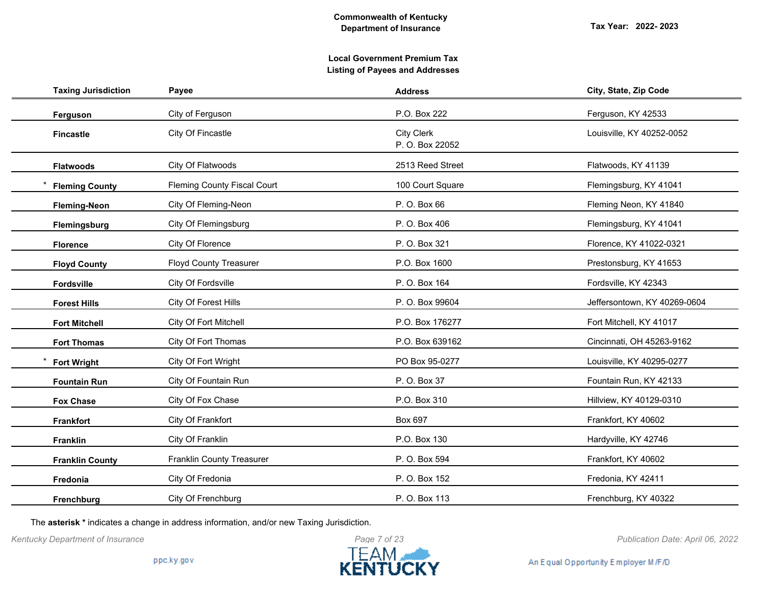| <b>Taxing Jurisdiction</b> | Payee                              | <b>Address</b>                       | City, State, Zip Code        |
|----------------------------|------------------------------------|--------------------------------------|------------------------------|
| Ferguson                   | City of Ferguson                   | P.O. Box 222                         | Ferguson, KY 42533           |
| <b>Fincastle</b>           | City Of Fincastle                  | <b>City Clerk</b><br>P. O. Box 22052 | Louisville, KY 40252-0052    |
| <b>Flatwoods</b>           | City Of Flatwoods                  | 2513 Reed Street                     | Flatwoods, KY 41139          |
| <b>Fleming County</b>      | <b>Fleming County Fiscal Court</b> | 100 Court Square                     | Flemingsburg, KY 41041       |
| <b>Fleming-Neon</b>        | City Of Fleming-Neon               | P. O. Box 66                         | Fleming Neon, KY 41840       |
| Flemingsburg               | City Of Flemingsburg               | P. O. Box 406                        | Flemingsburg, KY 41041       |
| <b>Florence</b>            | City Of Florence                   | P. O. Box 321                        | Florence, KY 41022-0321      |
| <b>Floyd County</b>        | <b>Floyd County Treasurer</b>      | P.O. Box 1600                        | Prestonsburg, KY 41653       |
| Fordsville                 | City Of Fordsville                 | P. O. Box 164                        | Fordsville, KY 42343         |
| <b>Forest Hills</b>        | City Of Forest Hills               | P. O. Box 99604                      | Jeffersontown, KY 40269-0604 |
| <b>Fort Mitchell</b>       | City Of Fort Mitchell              | P.O. Box 176277                      | Fort Mitchell, KY 41017      |
| <b>Fort Thomas</b>         | City Of Fort Thomas                | P.O. Box 639162                      | Cincinnati, OH 45263-9162    |
| <b>Fort Wright</b>         | City Of Fort Wright                | PO Box 95-0277                       | Louisville, KY 40295-0277    |
| <b>Fountain Run</b>        | City Of Fountain Run               | P. O. Box 37                         | Fountain Run, KY 42133       |
| <b>Fox Chase</b>           | City Of Fox Chase                  | P.O. Box 310                         | Hillview, KY 40129-0310      |
| <b>Frankfort</b>           | City Of Frankfort                  | Box 697                              | Frankfort, KY 40602          |
| <b>Franklin</b>            | City Of Franklin                   | P.O. Box 130                         | Hardyville, KY 42746         |
| <b>Franklin County</b>     | Franklin County Treasurer          | P. O. Box 594                        | Frankfort, KY 40602          |
| Fredonia                   | City Of Fredonia                   | P. O. Box 152                        | Fredonia, KY 42411           |
| Frenchburg                 | City Of Frenchburg                 | P. O. Box 113                        | Frenchburg, KY 40322         |

The **asterisk \*** indicates a change in address information, and/or new Taxing Jurisdiction.

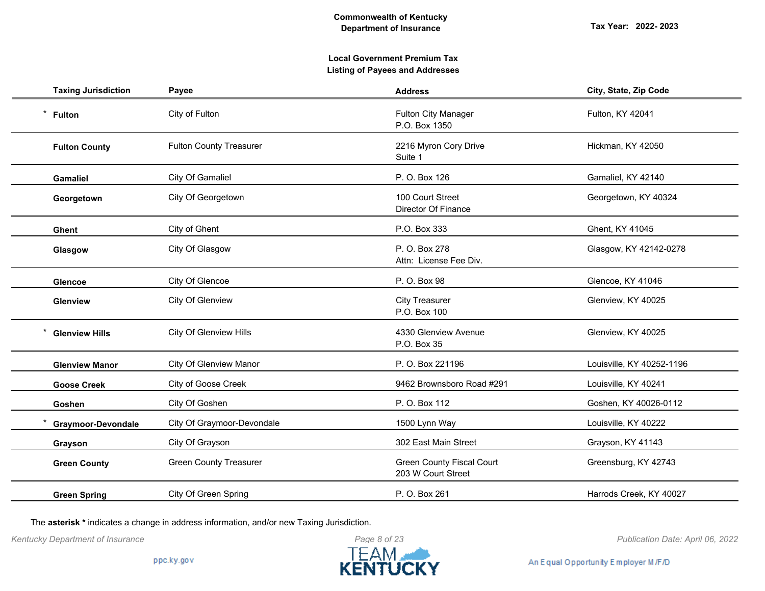# **Local Government Premium Tax Listing of Payees and Addresses**

| <b>Taxing Jurisdiction</b> | Payee                          | <b>Address</b>                                         | City, State, Zip Code     |
|----------------------------|--------------------------------|--------------------------------------------------------|---------------------------|
| $^\star$<br><b>Fulton</b>  | City of Fulton                 | <b>Fulton City Manager</b><br>P.O. Box 1350            | Fulton, KY 42041          |
| <b>Fulton County</b>       | <b>Fulton County Treasurer</b> | 2216 Myron Cory Drive<br>Suite 1                       | Hickman, KY 42050         |
| <b>Gamaliel</b>            | City Of Gamaliel               | P. O. Box 126                                          | Gamaliel, KY 42140        |
| Georgetown                 | City Of Georgetown             | 100 Court Street<br><b>Director Of Finance</b>         | Georgetown, KY 40324      |
| <b>Ghent</b>               | City of Ghent                  | P.O. Box 333                                           | Ghent, KY 41045           |
| Glasgow                    | City Of Glasgow                | P. O. Box 278<br>Attn: License Fee Div.                | Glasgow, KY 42142-0278    |
| <b>Glencoe</b>             | City Of Glencoe                | P. O. Box 98                                           | Glencoe, KY 41046         |
| Glenview                   | City Of Glenview               | <b>City Treasurer</b><br>P.O. Box 100                  | Glenview, KY 40025        |
| <b>Glenview Hills</b>      | <b>City Of Glenview Hills</b>  | 4330 Glenview Avenue<br>P.O. Box 35                    | Glenview, KY 40025        |
| <b>Glenview Manor</b>      | <b>City Of Glenview Manor</b>  | P. O. Box 221196                                       | Louisville, KY 40252-1196 |
| <b>Goose Creek</b>         | City of Goose Creek            | 9462 Brownsboro Road #291                              | Louisville, KY 40241      |
| Goshen                     | City Of Goshen                 | P. O. Box 112                                          | Goshen, KY 40026-0112     |
| <b>Graymoor-Devondale</b>  | City Of Graymoor-Devondale     | 1500 Lynn Way                                          | Louisville, KY 40222      |
| Grayson                    | City Of Grayson                | 302 East Main Street                                   | Grayson, KY 41143         |
| <b>Green County</b>        | <b>Green County Treasurer</b>  | <b>Green County Fiscal Court</b><br>203 W Court Street | Greensburg, KY 42743      |
| <b>Green Spring</b>        | City Of Green Spring           | P. O. Box 261                                          | Harrods Creek, KY 40027   |

The **asterisk \*** indicates a change in address information, and/or new Taxing Jurisdiction.



*Kentucky Department of Insurance Publication Date: April 06, 2022*

An Equal Opportunity Employer M/F/D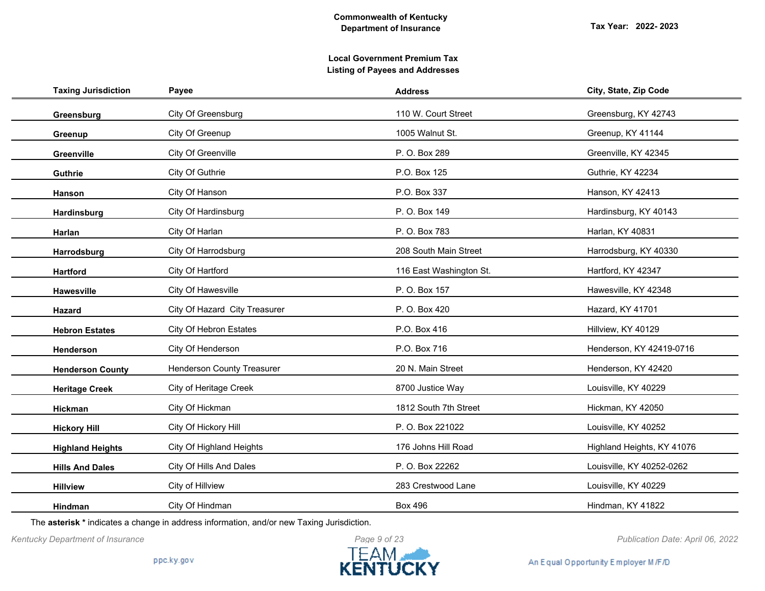| <b>Taxing Jurisdiction</b> | Payee                             | <b>Address</b>          | City, State, Zip Code      |
|----------------------------|-----------------------------------|-------------------------|----------------------------|
| Greensburg                 | City Of Greensburg                | 110 W. Court Street     | Greensburg, KY 42743       |
| Greenup                    | City Of Greenup                   | 1005 Walnut St.         | Greenup, KY 41144          |
| Greenville                 | City Of Greenville                | P. O. Box 289           | Greenville, KY 42345       |
| Guthrie                    | City Of Guthrie                   | P.O. Box 125            | Guthrie, KY 42234          |
| Hanson                     | City Of Hanson                    | P.O. Box 337            | Hanson, KY 42413           |
| Hardinsburg                | City Of Hardinsburg               | P. O. Box 149           | Hardinsburg, KY 40143      |
| Harlan                     | City Of Harlan                    | P. O. Box 783           | Harlan, KY 40831           |
| Harrodsburg                | City Of Harrodsburg               | 208 South Main Street   | Harrodsburg, KY 40330      |
| <b>Hartford</b>            | City Of Hartford                  | 116 East Washington St. | Hartford, KY 42347         |
| <b>Hawesville</b>          | City Of Hawesville                | P. O. Box 157           | Hawesville, KY 42348       |
| Hazard                     | City Of Hazard City Treasurer     | P. O. Box 420           | Hazard, KY 41701           |
| <b>Hebron Estates</b>      | City Of Hebron Estates            | P.O. Box 416            | Hillview, KY 40129         |
| Henderson                  | City Of Henderson                 | P.O. Box 716            | Henderson, KY 42419-0716   |
| <b>Henderson County</b>    | <b>Henderson County Treasurer</b> | 20 N. Main Street       | Henderson, KY 42420        |
| <b>Heritage Creek</b>      | City of Heritage Creek            | 8700 Justice Way        | Louisville, KY 40229       |
| Hickman                    | City Of Hickman                   | 1812 South 7th Street   | Hickman, KY 42050          |
| <b>Hickory Hill</b>        | City Of Hickory Hill              | P. O. Box 221022        | Louisville, KY 40252       |
| <b>Highland Heights</b>    | City Of Highland Heights          | 176 Johns Hill Road     | Highland Heights, KY 41076 |
| <b>Hills And Dales</b>     | City Of Hills And Dales           | P. O. Box 22262         | Louisville, KY 40252-0262  |
| <b>Hillview</b>            | City of Hillview                  | 283 Crestwood Lane      | Louisville, KY 40229       |
| <b>Hindman</b>             | City Of Hindman                   | <b>Box 496</b>          | Hindman, KY 41822          |

The **asterisk \*** indicates a change in address information, and/or new Taxing Jurisdiction.

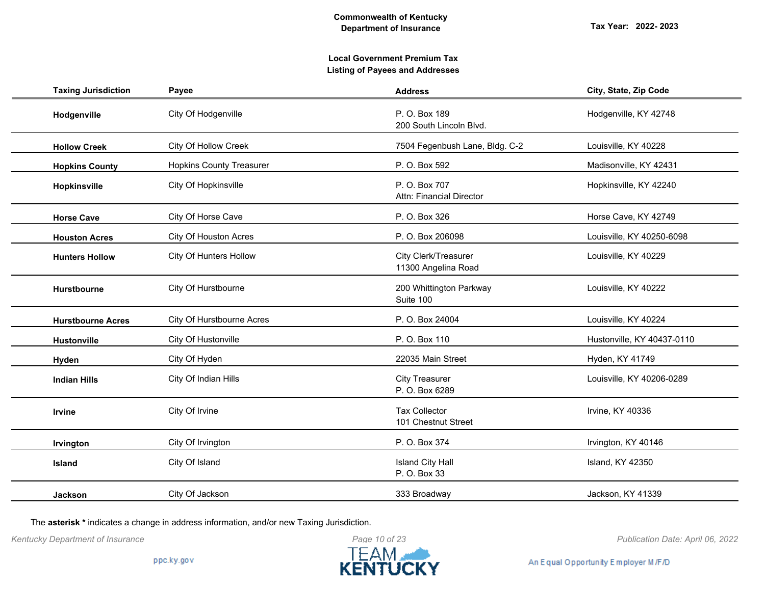# **Local Government Premium Tax Listing of Payees and Addresses**

| <b>Taxing Jurisdiction</b> | Payee                           | <b>Address</b>                              | City, State, Zip Code      |
|----------------------------|---------------------------------|---------------------------------------------|----------------------------|
| Hodgenville                | City Of Hodgenville             | P. O. Box 189<br>200 South Lincoln Blvd.    | Hodgenville, KY 42748      |
| <b>Hollow Creek</b>        | City Of Hollow Creek            | 7504 Fegenbush Lane, Bldg. C-2              | Louisville, KY 40228       |
| <b>Hopkins County</b>      | <b>Hopkins County Treasurer</b> | P. O. Box 592                               | Madisonville, KY 42431     |
| Hopkinsville               | City Of Hopkinsville            | P. O. Box 707<br>Attn: Financial Director   | Hopkinsville, KY 42240     |
| <b>Horse Cave</b>          | City Of Horse Cave              | P. O. Box 326                               | Horse Cave, KY 42749       |
| <b>Houston Acres</b>       | City Of Houston Acres           | P. O. Box 206098                            | Louisville, KY 40250-6098  |
| <b>Hunters Hollow</b>      | <b>City Of Hunters Hollow</b>   | City Clerk/Treasurer<br>11300 Angelina Road | Louisville, KY 40229       |
| <b>Hurstbourne</b>         | City Of Hurstbourne             | 200 Whittington Parkway<br>Suite 100        | Louisville, KY 40222       |
| <b>Hurstbourne Acres</b>   | City Of Hurstbourne Acres       | P. O. Box 24004                             | Louisville, KY 40224       |
| Hustonville                | City Of Hustonville             | P. O. Box 110                               | Hustonville, KY 40437-0110 |
| Hyden                      | City Of Hyden                   | 22035 Main Street                           | Hyden, KY 41749            |
| <b>Indian Hills</b>        | City Of Indian Hills            | <b>City Treasurer</b><br>P. O. Box 6289     | Louisville, KY 40206-0289  |
| Irvine                     | City Of Irvine                  | <b>Tax Collector</b><br>101 Chestnut Street | Irvine, KY 40336           |
| Irvington                  | City Of Irvington               | P. O. Box 374                               | Irvington, KY 40146        |
| Island                     | City Of Island                  | <b>Island City Hall</b><br>P. O. Box 33     | Island, KY 42350           |
| <b>Jackson</b>             | City Of Jackson                 | 333 Broadway                                | Jackson, KY 41339          |

The **asterisk \*** indicates a change in address information, and/or new Taxing Jurisdiction.



*Kentucky Department of Insurance Publication Date: April 06, 2022*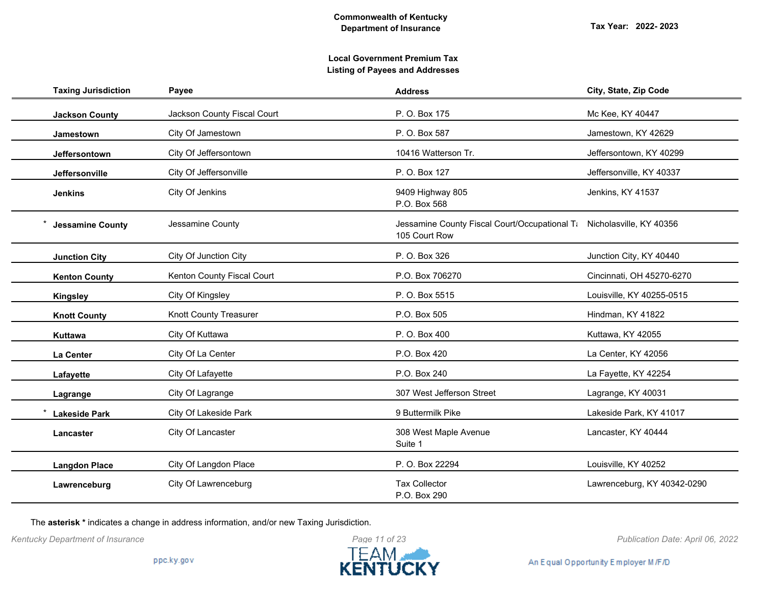| <b>Taxing Jurisdiction</b> | Payee                         | <b>Address</b>                                                                         | City, State, Zip Code       |
|----------------------------|-------------------------------|----------------------------------------------------------------------------------------|-----------------------------|
| <b>Jackson County</b>      | Jackson County Fiscal Court   | P. O. Box 175                                                                          | Mc Kee, KY 40447            |
| <b>Jamestown</b>           | City Of Jamestown             | P. O. Box 587                                                                          | Jamestown, KY 42629         |
| Jeffersontown              | City Of Jeffersontown         | 10416 Watterson Tr.                                                                    | Jeffersontown, KY 40299     |
| Jeffersonville             | City Of Jeffersonville        | P. O. Box 127                                                                          | Jeffersonville, KY 40337    |
| <b>Jenkins</b>             | City Of Jenkins               | 9409 Highway 805<br>P.O. Box 568                                                       | Jenkins, KY 41537           |
| <b>Jessamine County</b>    | Jessamine County              | Jessamine County Fiscal Court/Occupational T: Nicholasville, KY 40356<br>105 Court Row |                             |
| <b>Junction City</b>       | City Of Junction City         | P. O. Box 326                                                                          | Junction City, KY 40440     |
| <b>Kenton County</b>       | Kenton County Fiscal Court    | P.O. Box 706270                                                                        | Cincinnati, OH 45270-6270   |
| <b>Kingsley</b>            | City Of Kingsley              | P. O. Box 5515                                                                         | Louisville, KY 40255-0515   |
| <b>Knott County</b>        | <b>Knott County Treasurer</b> | P.O. Box 505                                                                           | Hindman, KY 41822           |
| Kuttawa                    | City Of Kuttawa               | P. O. Box 400                                                                          | Kuttawa, KY 42055           |
| La Center                  | City Of La Center             | P.O. Box 420                                                                           | La Center, KY 42056         |
| Lafayette                  | City Of Lafayette             | P.O. Box 240                                                                           | La Fayette, KY 42254        |
| Lagrange                   | City Of Lagrange              | 307 West Jefferson Street                                                              | Lagrange, KY 40031          |
| <b>Lakeside Park</b>       | City Of Lakeside Park         | 9 Buttermilk Pike                                                                      | Lakeside Park, KY 41017     |
| Lancaster                  | City Of Lancaster             | 308 West Maple Avenue<br>Suite 1                                                       | Lancaster, KY 40444         |
| <b>Langdon Place</b>       | City Of Langdon Place         | P. O. Box 22294                                                                        | Louisville, KY 40252        |
| Lawrenceburg               | City Of Lawrenceburg          | <b>Tax Collector</b><br>P.O. Box 290                                                   | Lawrenceburg, KY 40342-0290 |

The **asterisk \*** indicates a change in address information, and/or new Taxing Jurisdiction.



*Kentucky Department of Insurance Publication Date: April 06, 2022*

An Equal Opportunity Employer M/F/D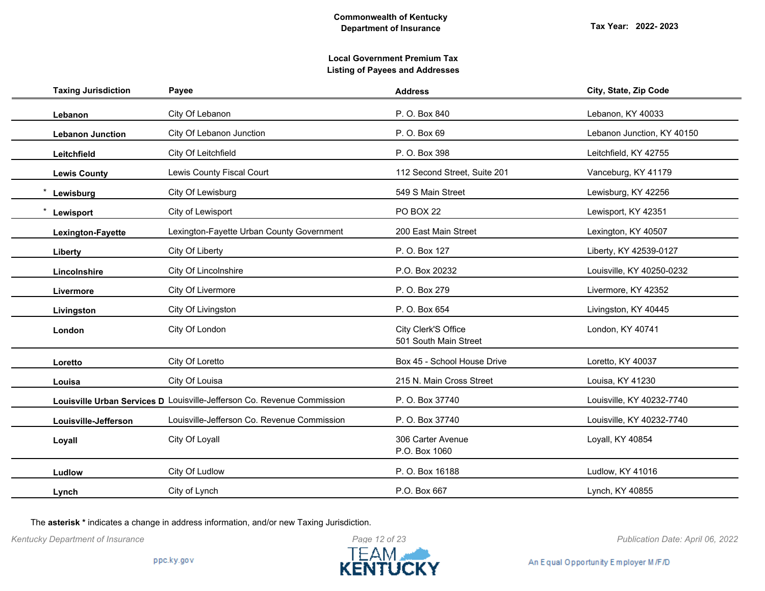| <b>Taxing Jurisdiction</b> | Payee                                                                   | <b>Address</b>                               | City, State, Zip Code      |
|----------------------------|-------------------------------------------------------------------------|----------------------------------------------|----------------------------|
| Lebanon                    | City Of Lebanon                                                         | P. O. Box 840                                | Lebanon, KY 40033          |
| <b>Lebanon Junction</b>    | City Of Lebanon Junction                                                | P. O. Box 69                                 | Lebanon Junction, KY 40150 |
| Leitchfield                | City Of Leitchfield                                                     | P. O. Box 398                                | Leitchfield, KY 42755      |
| <b>Lewis County</b>        | Lewis County Fiscal Court                                               | 112 Second Street, Suite 201                 | Vanceburg, KY 41179        |
| Lewisburg                  | City Of Lewisburg                                                       | 549 S Main Street                            | Lewisburg, KY 42256        |
| Lewisport                  | City of Lewisport                                                       | <b>PO BOX 22</b>                             | Lewisport, KY 42351        |
| Lexington-Fayette          | Lexington-Fayette Urban County Government                               | 200 East Main Street                         | Lexington, KY 40507        |
| Liberty                    | City Of Liberty                                                         | P. O. Box 127                                | Liberty, KY 42539-0127     |
| Lincolnshire               | City Of Lincolnshire                                                    | P.O. Box 20232                               | Louisville, KY 40250-0232  |
| Livermore                  | City Of Livermore                                                       | P. O. Box 279                                | Livermore, KY 42352        |
| Livingston                 | City Of Livingston                                                      | P. O. Box 654                                | Livingston, KY 40445       |
| London                     | City Of London                                                          | City Clerk'S Office<br>501 South Main Street | London, KY 40741           |
| Loretto                    | City Of Loretto                                                         | Box 45 - School House Drive                  | Loretto, KY 40037          |
| Louisa                     | City Of Louisa                                                          | 215 N. Main Cross Street                     | Louisa, KY 41230           |
|                            | Louisville Urban Services D Louisville-Jefferson Co. Revenue Commission | P. O. Box 37740                              | Louisville, KY 40232-7740  |
| Louisville-Jefferson       | Louisville-Jefferson Co. Revenue Commission                             | P. O. Box 37740                              | Louisville, KY 40232-7740  |
| Loyall                     | City Of Loyall                                                          | 306 Carter Avenue<br>P.O. Box 1060           | Loyall, KY 40854           |
| Ludlow                     | City Of Ludlow                                                          | P. O. Box 16188                              | Ludlow, KY 41016           |
| Lynch                      | City of Lynch                                                           | P.O. Box 667                                 | Lynch, KY 40855            |

The **asterisk \*** indicates a change in address information, and/or new Taxing Jurisdiction.



*Kentucky Department of Insurance Publication Date: April 06, 2022*

An Equal Opportunity Employer M/F/D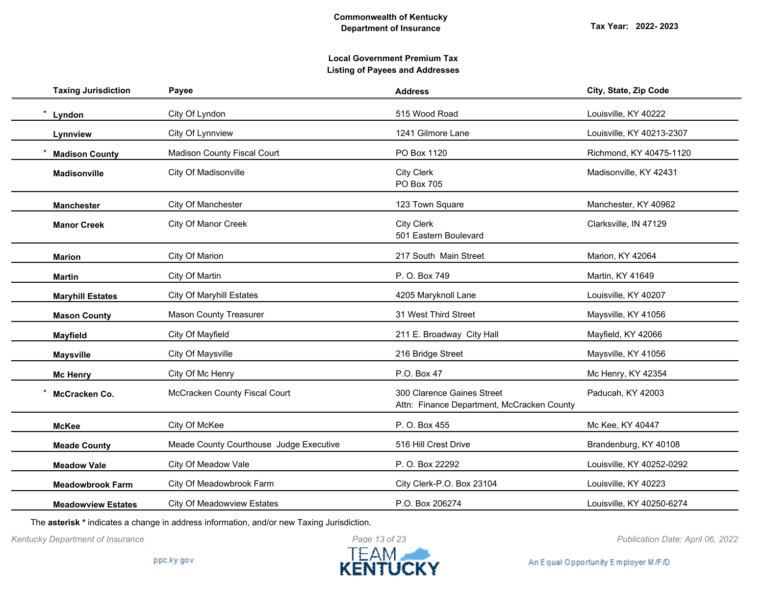| <b>Taxing Jurisdiction</b> | Payee                                   | <b>Address</b>                                                           | City, State, Zip Code     |
|----------------------------|-----------------------------------------|--------------------------------------------------------------------------|---------------------------|
| Lyndon                     | City Of Lyndon                          | 515 Wood Road                                                            | Louisville, KY 40222      |
| Lynnview                   | City Of Lynnview                        | 1241 Gilmore Lane                                                        | Louisville, KY 40213-2307 |
| <b>Madison County</b>      | <b>Madison County Fiscal Court</b>      | PO Box 1120                                                              | Richmond, KY 40475-1120   |
| <b>Madisonville</b>        | City Of Madisonville                    | <b>City Clerk</b><br><b>PO Box 705</b>                                   | Madisonville, KY 42431    |
| <b>Manchester</b>          | City Of Manchester                      | 123 Town Square                                                          | Manchester, KY 40962      |
| <b>Manor Creek</b>         | City Of Manor Creek                     | <b>City Clerk</b><br>501 Eastern Boulevard                               | Clarksville, IN 47129     |
| <b>Marion</b>              | City Of Marion                          | 217 South Main Street                                                    | Marion, KY 42064          |
| <b>Martin</b>              | City Of Martin                          | P. O. Box 749                                                            | Martin, KY 41649          |
| <b>Maryhill Estates</b>    | <b>City Of Maryhill Estates</b>         | 4205 Maryknoll Lane                                                      | Louisville, KY 40207      |
| <b>Mason County</b>        | <b>Mason County Treasurer</b>           | 31 West Third Street                                                     | Maysville, KY 41056       |
| <b>Mayfield</b>            | City Of Mayfield                        | 211 E. Broadway City Hall                                                | Mayfield, KY 42066        |
| <b>Maysville</b>           | City Of Maysville                       | 216 Bridge Street                                                        | Maysville, KY 41056       |
| <b>Mc Henry</b>            | City Of Mc Henry                        | P.O. Box 47                                                              | Mc Henry, KY 42354        |
| McCracken Co.              | McCracken County Fiscal Court           | 300 Clarence Gaines Street<br>Attn: Finance Department, McCracken County | Paducah, KY 42003         |
| <b>McKee</b>               | City Of McKee                           | P. O. Box 455                                                            | Mc Kee, KY 40447          |
| <b>Meade County</b>        | Meade County Courthouse Judge Executive | 516 Hill Crest Drive                                                     | Brandenburg, KY 40108     |
| <b>Meadow Vale</b>         | City Of Meadow Vale                     | P. O. Box 22292                                                          | Louisville, KY 40252-0292 |
| <b>Meadowbrook Farm</b>    | City Of Meadowbrook Farm                | City Clerk-P.O. Box 23104                                                | Louisville, KY 40223      |
| <b>Meadowview Estates</b>  | <b>City Of Meadowview Estates</b>       | P.O. Box 206274                                                          | Louisville, KY 40250-6274 |

The **asterisk \*** indicates a change in address information, and/or new Taxing Jurisdiction.



An Equal Opportunity Employer M/F/D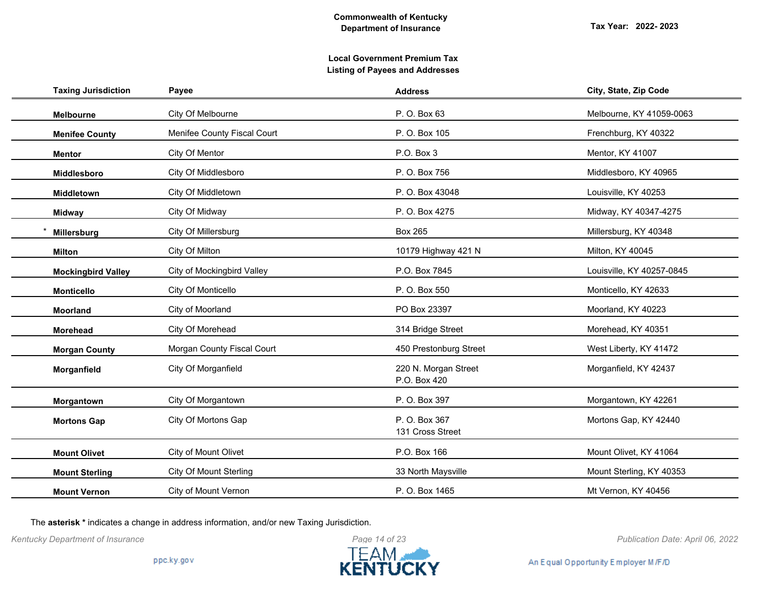# **Local Government Premium Tax Listing of Payees and Addresses**

| <b>Taxing Jurisdiction</b> | Payee                         | <b>Address</b>                       | City, State, Zip Code     |
|----------------------------|-------------------------------|--------------------------------------|---------------------------|
| Melbourne                  | City Of Melbourne             | P. O. Box 63                         | Melbourne, KY 41059-0063  |
| <b>Menifee County</b>      | Menifee County Fiscal Court   | P. O. Box 105                        | Frenchburg, KY 40322      |
| <b>Mentor</b>              | City Of Mentor                | P.O. Box 3                           | Mentor, KY 41007          |
| Middlesboro                | City Of Middlesboro           | P. O. Box 756                        | Middlesboro, KY 40965     |
| Middletown                 | City Of Middletown            | P. O. Box 43048                      | Louisville, KY 40253      |
| <b>Midway</b>              | City Of Midway                | P. O. Box 4275                       | Midway, KY 40347-4275     |
| Millersburg                | City Of Millersburg           | <b>Box 265</b>                       | Millersburg, KY 40348     |
| <b>Milton</b>              | City Of Milton                | 10179 Highway 421 N                  | Milton, KY 40045          |
| <b>Mockingbird Valley</b>  | City of Mockingbird Valley    | P.O. Box 7845                        | Louisville, KY 40257-0845 |
| <b>Monticello</b>          | City Of Monticello            | P. O. Box 550                        | Monticello, KY 42633      |
| Moorland                   | City of Moorland              | PO Box 23397                         | Moorland, KY 40223        |
| Morehead                   | City Of Morehead              | 314 Bridge Street                    | Morehead, KY 40351        |
| <b>Morgan County</b>       | Morgan County Fiscal Court    | 450 Prestonburg Street               | West Liberty, KY 41472    |
| Morganfield                | City Of Morganfield           | 220 N. Morgan Street<br>P.O. Box 420 | Morganfield, KY 42437     |
| Morgantown                 | City Of Morgantown            | P. O. Box 397                        | Morgantown, KY 42261      |
| <b>Mortons Gap</b>         | City Of Mortons Gap           | P. O. Box 367<br>131 Cross Street    | Mortons Gap, KY 42440     |
| <b>Mount Olivet</b>        | City of Mount Olivet          | P.O. Box 166                         | Mount Olivet, KY 41064    |
| <b>Mount Sterling</b>      | <b>City Of Mount Sterling</b> | 33 North Maysville                   | Mount Sterling, KY 40353  |
| <b>Mount Vernon</b>        | City of Mount Vernon          | P. O. Box 1465                       | Mt Vernon, KY 40456       |

The **asterisk \*** indicates a change in address information, and/or new Taxing Jurisdiction.



*Kentucky Department of Insurance Publication Date: April 06, 2022*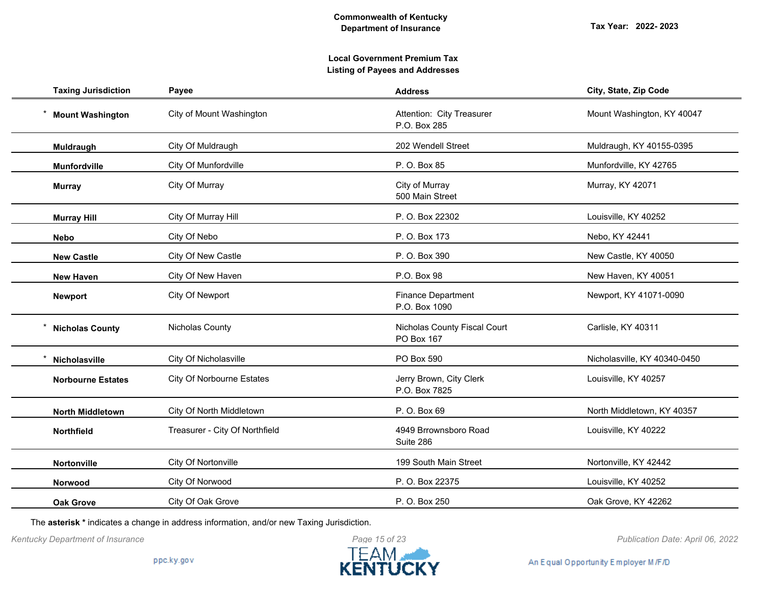# **Local Government Premium Tax Listing of Payees and Addresses**

| <b>Taxing Jurisdiction</b> | Payee                            | <b>Address</b>                             | City, State, Zip Code        |
|----------------------------|----------------------------------|--------------------------------------------|------------------------------|
| <b>Mount Washington</b>    | City of Mount Washington         | Attention: City Treasurer<br>P.O. Box 285  | Mount Washington, KY 40047   |
| Muldraugh                  | City Of Muldraugh                | 202 Wendell Street                         | Muldraugh, KY 40155-0395     |
| <b>Munfordville</b>        | City Of Munfordville             | P. O. Box 85                               | Munfordville, KY 42765       |
| <b>Murray</b>              | City Of Murray                   | City of Murray<br>500 Main Street          | Murray, KY 42071             |
| <b>Murray Hill</b>         | City Of Murray Hill              | P. O. Box 22302                            | Louisville, KY 40252         |
| <b>Nebo</b>                | City Of Nebo                     | P. O. Box 173                              | Nebo, KY 42441               |
| <b>New Castle</b>          | City Of New Castle               | P. O. Box 390                              | New Castle, KY 40050         |
| <b>New Haven</b>           | City Of New Haven                | P.O. Box 98                                | New Haven, KY 40051          |
| <b>Newport</b>             | City Of Newport                  | <b>Finance Department</b><br>P.O. Box 1090 | Newport, KY 41071-0090       |
| <b>Nicholas County</b>     | Nicholas County                  | Nicholas County Fiscal Court<br>PO Box 167 | Carlisle, KY 40311           |
| Nicholasville              | City Of Nicholasville            | PO Box 590                                 | Nicholasville, KY 40340-0450 |
| <b>Norbourne Estates</b>   | <b>City Of Norbourne Estates</b> | Jerry Brown, City Clerk<br>P.O. Box 7825   | Louisville, KY 40257         |
| <b>North Middletown</b>    | City Of North Middletown         | P. O. Box 69                               | North Middletown, KY 40357   |
| Northfield                 | Treasurer - City Of Northfield   | 4949 Brrownsboro Road<br>Suite 286         | Louisville, KY 40222         |
| Nortonville                | City Of Nortonville              | 199 South Main Street                      | Nortonville, KY 42442        |
| Norwood                    | City Of Norwood                  | P. O. Box 22375                            | Louisville, KY 40252         |
| <b>Oak Grove</b>           | City Of Oak Grove                | P. O. Box 250                              | Oak Grove, KY 42262          |

The **asterisk \*** indicates a change in address information, and/or new Taxing Jurisdiction.

*Kentucky Department of Insurance Publication Date: April 06, 2022*

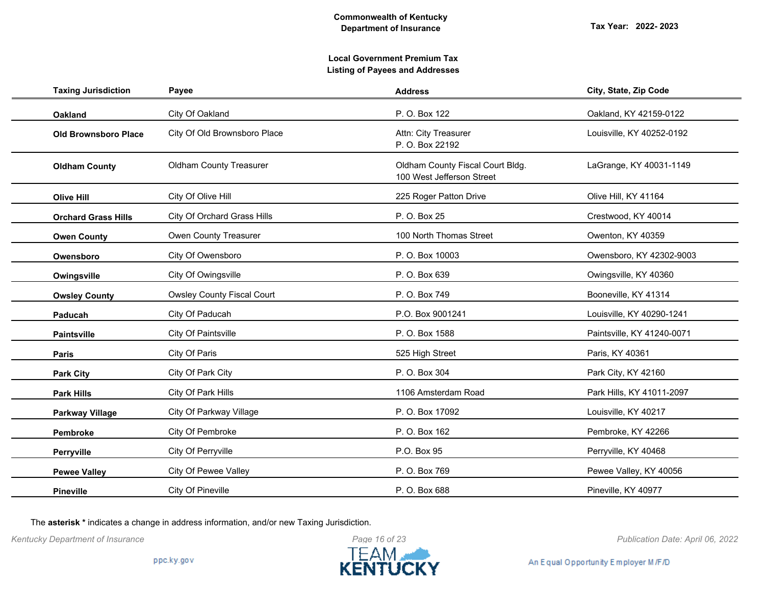| <b>Taxing Jurisdiction</b>  | Payee                              | <b>Address</b>                                                | City, State, Zip Code      |
|-----------------------------|------------------------------------|---------------------------------------------------------------|----------------------------|
| <b>Oakland</b>              | City Of Oakland                    | P. O. Box 122                                                 | Oakland, KY 42159-0122     |
| <b>Old Brownsboro Place</b> | City Of Old Brownsboro Place       | Attn: City Treasurer<br>P. O. Box 22192                       | Louisville, KY 40252-0192  |
| <b>Oldham County</b>        | <b>Oldham County Treasurer</b>     | Oldham County Fiscal Court Bldg.<br>100 West Jefferson Street | LaGrange, KY 40031-1149    |
| <b>Olive Hill</b>           | City Of Olive Hill                 | 225 Roger Patton Drive                                        | Olive Hill, KY 41164       |
| <b>Orchard Grass Hills</b>  | <b>City Of Orchard Grass Hills</b> | P. O. Box 25                                                  | Crestwood, KY 40014        |
| <b>Owen County</b>          | Owen County Treasurer              | 100 North Thomas Street                                       | Owenton, KY 40359          |
| Owensboro                   | City Of Owensboro                  | P. O. Box 10003                                               | Owensboro, KY 42302-9003   |
| Owingsville                 | City Of Owingsville                | P. O. Box 639                                                 | Owingsville, KY 40360      |
| <b>Owsley County</b>        | <b>Owsley County Fiscal Court</b>  | P. O. Box 749                                                 | Booneville, KY 41314       |
| Paducah                     | City Of Paducah                    | P.O. Box 9001241                                              | Louisville, KY 40290-1241  |
| <b>Paintsville</b>          | City Of Paintsville                | P. O. Box 1588                                                | Paintsville, KY 41240-0071 |
| Paris                       | City Of Paris                      | 525 High Street                                               | Paris, KY 40361            |
| <b>Park City</b>            | City Of Park City                  | P. O. Box 304                                                 | Park City, KY 42160        |
| <b>Park Hills</b>           | City Of Park Hills                 | 1106 Amsterdam Road                                           | Park Hills, KY 41011-2097  |
| <b>Parkway Village</b>      | City Of Parkway Village            | P. O. Box 17092                                               | Louisville, KY 40217       |
| Pembroke                    | City Of Pembroke                   | P. O. Box 162                                                 | Pembroke, KY 42266         |
| Perryville                  | City Of Perryville                 | P.O. Box 95                                                   | Perryville, KY 40468       |
| <b>Pewee Valley</b>         | City Of Pewee Valley               | P. O. Box 769                                                 | Pewee Valley, KY 40056     |
| <b>Pineville</b>            | City Of Pineville                  | P. O. Box 688                                                 | Pineville, KY 40977        |

The **asterisk \*** indicates a change in address information, and/or new Taxing Jurisdiction.

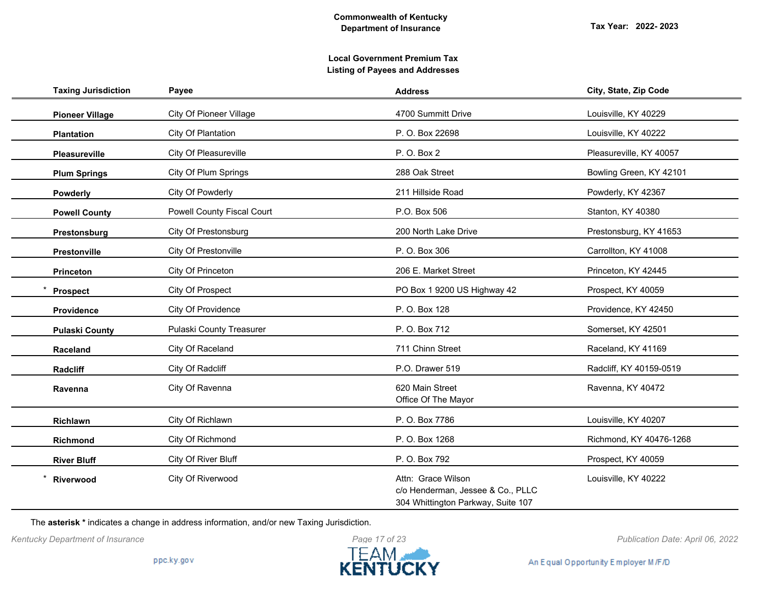| <b>Taxing Jurisdiction</b> | Payee                             | <b>Address</b>                                                                                | City, State, Zip Code   |
|----------------------------|-----------------------------------|-----------------------------------------------------------------------------------------------|-------------------------|
| <b>Pioneer Village</b>     | <b>City Of Pioneer Village</b>    | 4700 Summitt Drive                                                                            | Louisville, KY 40229    |
| <b>Plantation</b>          | City Of Plantation                | P. O. Box 22698                                                                               | Louisville, KY 40222    |
| <b>Pleasureville</b>       | City Of Pleasureville             | P. O. Box 2                                                                                   | Pleasureville, KY 40057 |
| <b>Plum Springs</b>        | City Of Plum Springs              | 288 Oak Street                                                                                | Bowling Green, KY 42101 |
| <b>Powderly</b>            | City Of Powderly                  | 211 Hillside Road                                                                             | Powderly, KY 42367      |
| <b>Powell County</b>       | <b>Powell County Fiscal Court</b> | P.O. Box 506                                                                                  | Stanton, KY 40380       |
| Prestonsburg               | <b>City Of Prestonsburg</b>       | 200 North Lake Drive                                                                          | Prestonsburg, KY 41653  |
| Prestonville               | City Of Prestonville              | P. O. Box 306                                                                                 | Carrollton, KY 41008    |
| <b>Princeton</b>           | City Of Princeton                 | 206 E. Market Street                                                                          | Princeton, KY 42445     |
| <b>Prospect</b>            | City Of Prospect                  | PO Box 1 9200 US Highway 42                                                                   | Prospect, KY 40059      |
| Providence                 | <b>City Of Providence</b>         | P. O. Box 128                                                                                 | Providence, KY 42450    |
| <b>Pulaski County</b>      | Pulaski County Treasurer          | P. O. Box 712                                                                                 | Somerset, KY 42501      |
| Raceland                   | City Of Raceland                  | 711 Chinn Street                                                                              | Raceland, KY 41169      |
| Radcliff                   | City Of Radcliff                  | P.O. Drawer 519                                                                               | Radcliff, KY 40159-0519 |
| Ravenna                    | City Of Ravenna                   | 620 Main Street<br>Office Of The Mayor                                                        | Ravenna, KY 40472       |
| Richlawn                   | City Of Richlawn                  | P. O. Box 7786                                                                                | Louisville, KY 40207    |
| Richmond                   | City Of Richmond                  | P. O. Box 1268                                                                                | Richmond, KY 40476-1268 |
| <b>River Bluff</b>         | City Of River Bluff               | P. O. Box 792                                                                                 | Prospect, KY 40059      |
| Riverwood                  | City Of Riverwood                 | Attn: Grace Wilson<br>c/o Henderman, Jessee & Co., PLLC<br>304 Whittington Parkway, Suite 107 | Louisville, KY 40222    |

The **asterisk \*** indicates a change in address information, and/or new Taxing Jurisdiction.



*Kentucky Department of Insurance Publication Date: April 06, 2022*

An Equal Opportunity Employer M/F/D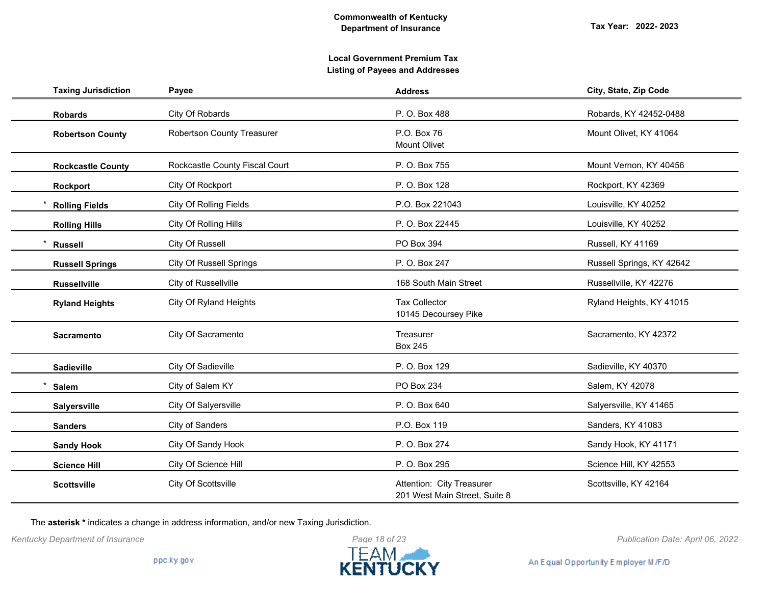# **Local Government Premium Tax Listing of Payees and Addresses**

| <b>Taxing Jurisdiction</b> | Payee                             | <b>Address</b>                                             | City, State, Zip Code     |
|----------------------------|-----------------------------------|------------------------------------------------------------|---------------------------|
| <b>Robards</b>             | City Of Robards                   | P. O. Box 488                                              | Robards, KY 42452-0488    |
| <b>Robertson County</b>    | <b>Robertson County Treasurer</b> | P.O. Box 76<br><b>Mount Olivet</b>                         | Mount Olivet, KY 41064    |
| <b>Rockcastle County</b>   | Rockcastle County Fiscal Court    | P. O. Box 755                                              | Mount Vernon, KY 40456    |
| Rockport                   | City Of Rockport                  | P. O. Box 128                                              | Rockport, KY 42369        |
| <b>Rolling Fields</b>      | <b>City Of Rolling Fields</b>     | P.O. Box 221043                                            | Louisville, KY 40252      |
| <b>Rolling Hills</b>       | City Of Rolling Hills             | P. O. Box 22445                                            | Louisville, KY 40252      |
| <b>Russell</b>             | City Of Russell                   | PO Box 394                                                 | Russell, KY 41169         |
| <b>Russell Springs</b>     | <b>City Of Russell Springs</b>    | P. O. Box 247                                              | Russell Springs, KY 42642 |
| <b>Russellville</b>        | City of Russellville              | 168 South Main Street                                      | Russellville, KY 42276    |
| <b>Ryland Heights</b>      | City Of Ryland Heights            | <b>Tax Collector</b><br>10145 Decoursey Pike               | Ryland Heights, KY 41015  |
| Sacramento                 | City Of Sacramento                | Treasurer<br><b>Box 245</b>                                | Sacramento, KY 42372      |
| Sadieville                 | City Of Sadieville                | P. O. Box 129                                              | Sadieville, KY 40370      |
| <b>Salem</b>               | City of Salem KY                  | PO Box 234                                                 | Salem, KY 42078           |
| <b>Salyersville</b>        | City Of Salyersville              | P. O. Box 640                                              | Salyersville, KY 41465    |
| <b>Sanders</b>             | City of Sanders                   | P.O. Box 119                                               | Sanders, KY 41083         |
| <b>Sandy Hook</b>          | City Of Sandy Hook                | P. O. Box 274                                              | Sandy Hook, KY 41171      |
| <b>Science Hill</b>        | City Of Science Hill              | P. O. Box 295                                              | Science Hill, KY 42553    |
| <b>Scottsville</b>         | City Of Scottsville               | Attention: City Treasurer<br>201 West Main Street, Suite 8 | Scottsville, KY 42164     |

The **asterisk \*** indicates a change in address information, and/or new Taxing Jurisdiction.

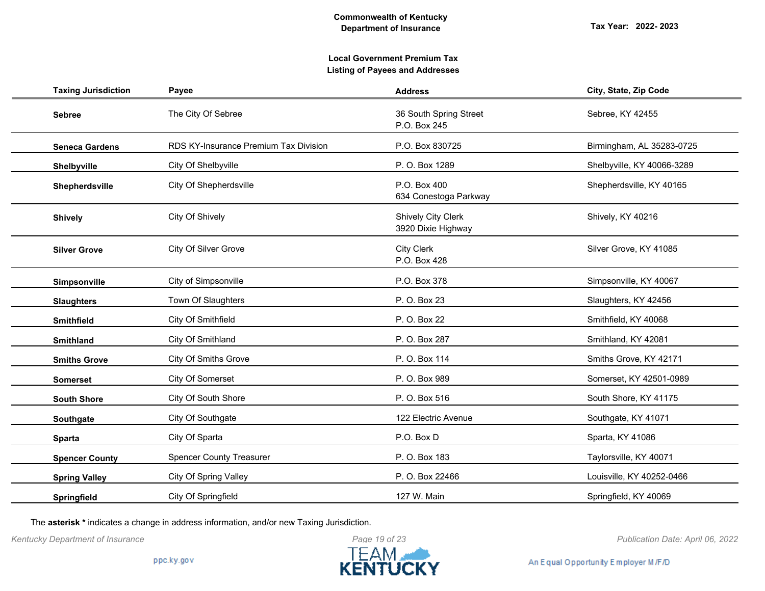# **Local Government Premium Tax Listing of Payees and Addresses**

| <b>Taxing Jurisdiction</b> | Payee                                 | <b>Address</b>                                  | City, State, Zip Code      |
|----------------------------|---------------------------------------|-------------------------------------------------|----------------------------|
| <b>Sebree</b>              | The City Of Sebree                    | 36 South Spring Street<br>P.O. Box 245          | Sebree, KY 42455           |
| <b>Seneca Gardens</b>      | RDS KY-Insurance Premium Tax Division | P.O. Box 830725                                 | Birmingham, AL 35283-0725  |
| Shelbyville                | City Of Shelbyville                   | P. O. Box 1289                                  | Shelbyville, KY 40066-3289 |
| Shepherdsville             | <b>City Of Shepherdsville</b>         | P.O. Box 400<br>634 Conestoga Parkway           | Shepherdsville, KY 40165   |
| <b>Shively</b>             | City Of Shively                       | <b>Shively City Clerk</b><br>3920 Dixie Highway | Shively, KY 40216          |
| <b>Silver Grove</b>        | City Of Silver Grove                  | <b>City Clerk</b><br>P.O. Box 428               | Silver Grove, KY 41085     |
| Simpsonville               | City of Simpsonville                  | P.O. Box 378                                    | Simpsonville, KY 40067     |
| <b>Slaughters</b>          | Town Of Slaughters                    | P. O. Box 23                                    | Slaughters, KY 42456       |
| <b>Smithfield</b>          | City Of Smithfield                    | P. O. Box 22                                    | Smithfield, KY 40068       |
| <b>Smithland</b>           | City Of Smithland                     | P. O. Box 287                                   | Smithland, KY 42081        |
| <b>Smiths Grove</b>        | <b>City Of Smiths Grove</b>           | P. O. Box 114                                   | Smiths Grove, KY 42171     |
| <b>Somerset</b>            | City Of Somerset                      | P. O. Box 989                                   | Somerset, KY 42501-0989    |
| <b>South Shore</b>         | City Of South Shore                   | P. O. Box 516                                   | South Shore, KY 41175      |
| Southgate                  | City Of Southgate                     | 122 Electric Avenue                             | Southgate, KY 41071        |
| <b>Sparta</b>              | City Of Sparta                        | P.O. Box D                                      | Sparta, KY 41086           |
| <b>Spencer County</b>      | <b>Spencer County Treasurer</b>       | P.O. Box 183                                    | Taylorsville, KY 40071     |
| <b>Spring Valley</b>       | <b>City Of Spring Valley</b>          | P. O. Box 22466                                 | Louisville, KY 40252-0466  |
| Springfield                | City Of Springfield                   | 127 W. Main                                     | Springfield, KY 40069      |

The **asterisk \*** indicates a change in address information, and/or new Taxing Jurisdiction.

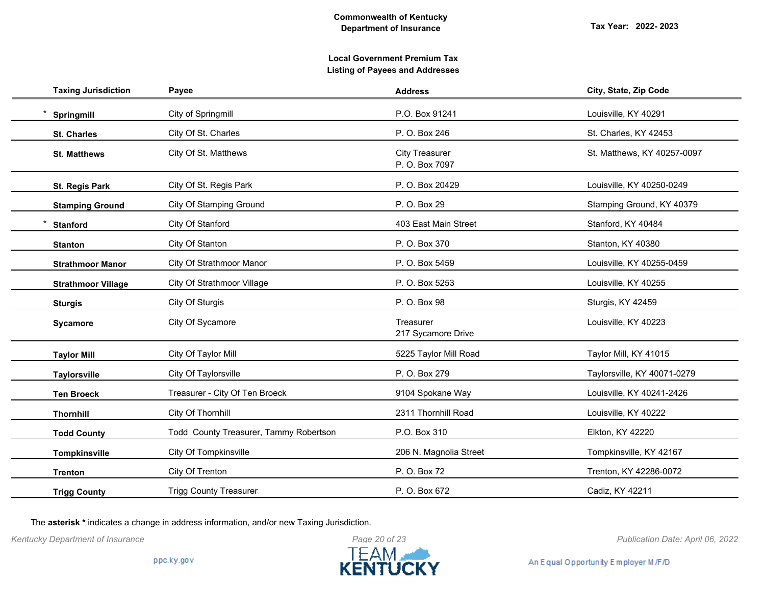| <b>Taxing Jurisdiction</b> | Payee                                  | <b>Address</b>                          | City, State, Zip Code       |
|----------------------------|----------------------------------------|-----------------------------------------|-----------------------------|
| Springmill                 | City of Springmill                     | P.O. Box 91241                          | Louisville, KY 40291        |
| <b>St. Charles</b>         | City Of St. Charles                    | P. O. Box 246                           | St. Charles, KY 42453       |
| <b>St. Matthews</b>        | City Of St. Matthews                   | <b>City Treasurer</b><br>P. O. Box 7097 | St. Matthews, KY 40257-0097 |
| St. Regis Park             | City Of St. Regis Park                 | P. O. Box 20429                         | Louisville, KY 40250-0249   |
| <b>Stamping Ground</b>     | <b>City Of Stamping Ground</b>         | P. O. Box 29                            | Stamping Ground, KY 40379   |
| <b>Stanford</b>            | City Of Stanford                       | 403 East Main Street                    | Stanford, KY 40484          |
| <b>Stanton</b>             | City Of Stanton                        | P. O. Box 370                           | Stanton, KY 40380           |
| <b>Strathmoor Manor</b>    | City Of Strathmoor Manor               | P. O. Box 5459                          | Louisville, KY 40255-0459   |
| <b>Strathmoor Village</b>  | <b>City Of Strathmoor Village</b>      | P. O. Box 5253                          | Louisville, KY 40255        |
| <b>Sturgis</b>             | City Of Sturgis                        | P. O. Box 98                            | Sturgis, KY 42459           |
| <b>Sycamore</b>            | City Of Sycamore                       | Treasurer<br>217 Sycamore Drive         | Louisville, KY 40223        |
| <b>Taylor Mill</b>         | City Of Taylor Mill                    | 5225 Taylor Mill Road                   | Taylor Mill, KY 41015       |
| <b>Taylorsville</b>        | City Of Taylorsville                   | P. O. Box 279                           | Taylorsville, KY 40071-0279 |
| <b>Ten Broeck</b>          | Treasurer - City Of Ten Broeck         | 9104 Spokane Way                        | Louisville, KY 40241-2426   |
| <b>Thornhill</b>           | City Of Thornhill                      | 2311 Thornhill Road                     | Louisville, KY 40222        |
| <b>Todd County</b>         | Todd County Treasurer, Tammy Robertson | P.O. Box 310                            | Elkton, KY 42220            |
| <b>Tompkinsville</b>       | City Of Tompkinsville                  | 206 N. Magnolia Street                  | Tompkinsville, KY 42167     |
| <b>Trenton</b>             | City Of Trenton                        | P. O. Box 72                            | Trenton, KY 42286-0072      |
| <b>Trigg County</b>        | <b>Trigg County Treasurer</b>          | P. O. Box 672                           | Cadiz, KY 42211             |

The **asterisk \*** indicates a change in address information, and/or new Taxing Jurisdiction.



An Equal Opportunity Employer M/F/D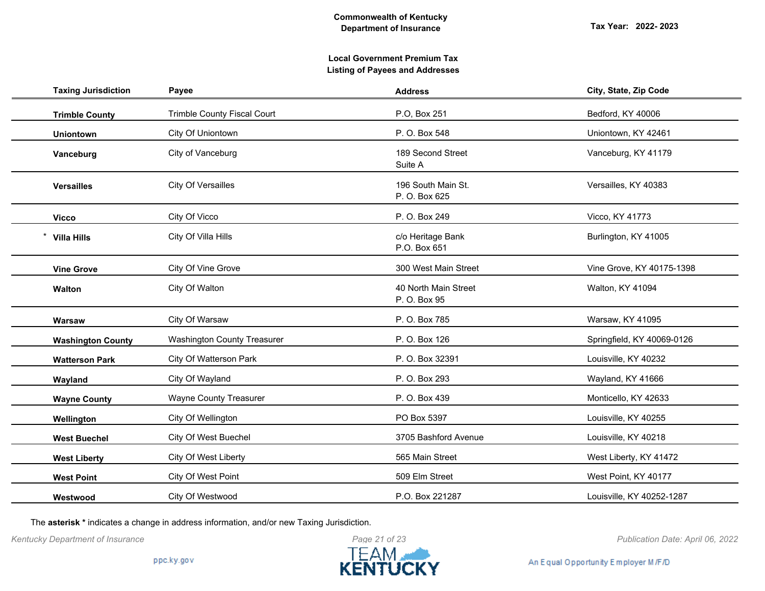| <b>Taxing Jurisdiction</b> | Payee                              | <b>Address</b>                       | City, State, Zip Code      |
|----------------------------|------------------------------------|--------------------------------------|----------------------------|
| <b>Trimble County</b>      | <b>Trimble County Fiscal Court</b> | P.O, Box 251                         | Bedford, KY 40006          |
| <b>Uniontown</b>           | City Of Uniontown                  | P. O. Box 548                        | Uniontown, KY 42461        |
| Vanceburg                  | City of Vanceburg                  | 189 Second Street<br>Suite A         | Vanceburg, KY 41179        |
| <b>Versailles</b>          | City Of Versailles                 | 196 South Main St.<br>P. O. Box 625  | Versailles, KY 40383       |
| <b>Vicco</b>               | City Of Vicco                      | P. O. Box 249                        | Vicco, KY 41773            |
| <b>Villa Hills</b>         | City Of Villa Hills                | c/o Heritage Bank<br>P.O. Box 651    | Burlington, KY 41005       |
| <b>Vine Grove</b>          | City Of Vine Grove                 | 300 West Main Street                 | Vine Grove, KY 40175-1398  |
| Walton                     | City Of Walton                     | 40 North Main Street<br>P. O. Box 95 | Walton, KY 41094           |
| Warsaw                     | City Of Warsaw                     | P. O. Box 785                        | Warsaw, KY 41095           |
| <b>Washington County</b>   | <b>Washington County Treasurer</b> | P. O. Box 126                        | Springfield, KY 40069-0126 |
| <b>Watterson Park</b>      | City Of Watterson Park             | P. O. Box 32391                      | Louisville, KY 40232       |
| Wayland                    | City Of Wayland                    | P. O. Box 293                        | Wayland, KY 41666          |
| <b>Wayne County</b>        | <b>Wayne County Treasurer</b>      | P. O. Box 439                        | Monticello, KY 42633       |
| Wellington                 | City Of Wellington                 | PO Box 5397                          | Louisville, KY 40255       |
| <b>West Buechel</b>        | City Of West Buechel               | 3705 Bashford Avenue                 | Louisville, KY 40218       |
| <b>West Liberty</b>        | City Of West Liberty               | 565 Main Street                      | West Liberty, KY 41472     |
| <b>West Point</b>          | City Of West Point                 | 509 Elm Street                       | West Point, KY 40177       |
| Westwood                   | City Of Westwood                   | P.O. Box 221287                      | Louisville, KY 40252-1287  |

The **asterisk \*** indicates a change in address information, and/or new Taxing Jurisdiction.



An Equal Opportunity Employer M/F/D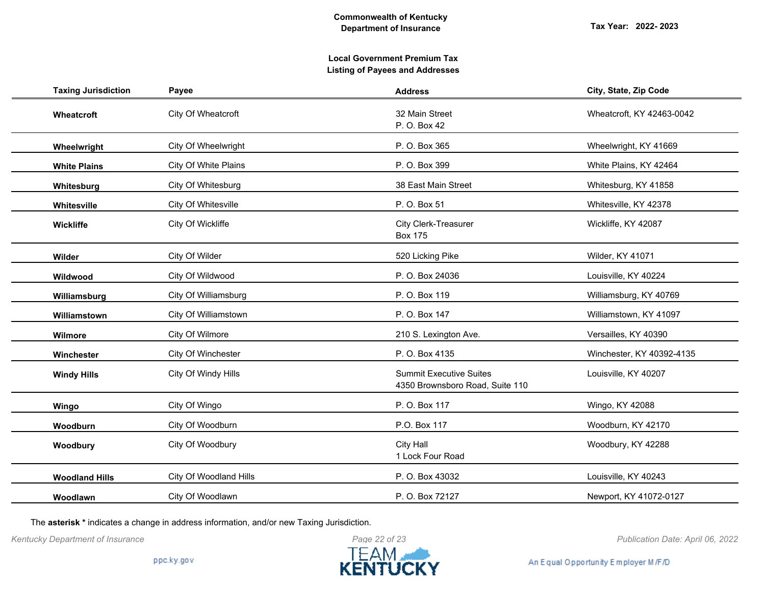# **Local Government Premium Tax Listing of Payees and Addresses**

| <b>Taxing Jurisdiction</b> | Payee                  | <b>Address</b>                                                    | City, State, Zip Code     |
|----------------------------|------------------------|-------------------------------------------------------------------|---------------------------|
| Wheatcroft                 | City Of Wheatcroft     | 32 Main Street<br>P. O. Box 42                                    | Wheatcroft, KY 42463-0042 |
| Wheelwright                | City Of Wheelwright    | P. O. Box 365                                                     | Wheelwright, KY 41669     |
| <b>White Plains</b>        | City Of White Plains   | P. O. Box 399                                                     | White Plains, KY 42464    |
| Whitesburg                 | City Of Whitesburg     | 38 East Main Street                                               | Whitesburg, KY 41858      |
| Whitesville                | City Of Whitesville    | P. O. Box 51                                                      | Whitesville, KY 42378     |
| Wickliffe                  | City Of Wickliffe      | City Clerk-Treasurer<br><b>Box 175</b>                            | Wickliffe, KY 42087       |
| Wilder                     | City Of Wilder         | 520 Licking Pike                                                  | Wilder, KY 41071          |
| Wildwood                   | City Of Wildwood       | P. O. Box 24036                                                   | Louisville, KY 40224      |
| Williamsburg               | City Of Williamsburg   | P. O. Box 119                                                     | Williamsburg, KY 40769    |
| Williamstown               | City Of Williamstown   | P. O. Box 147                                                     | Williamstown, KY 41097    |
| Wilmore                    | City Of Wilmore        | 210 S. Lexington Ave.                                             | Versailles, KY 40390      |
| Winchester                 | City Of Winchester     | P. O. Box 4135                                                    | Winchester, KY 40392-4135 |
| <b>Windy Hills</b>         | City Of Windy Hills    | <b>Summit Executive Suites</b><br>4350 Brownsboro Road, Suite 110 | Louisville, KY 40207      |
| Wingo                      | City Of Wingo          | P. O. Box 117                                                     | Wingo, KY 42088           |
| Woodburn                   | City Of Woodburn       | P.O. Box 117                                                      | Woodburn, KY 42170        |
| Woodbury                   | City Of Woodbury       | <b>City Hall</b><br>1 Lock Four Road                              | Woodbury, KY 42288        |
| <b>Woodland Hills</b>      | City Of Woodland Hills | P. O. Box 43032                                                   | Louisville, KY 40243      |
| Woodlawn                   | City Of Woodlawn       | P. O. Box 72127                                                   | Newport, KY 41072-0127    |

The **asterisk \*** indicates a change in address information, and/or new Taxing Jurisdiction.

*Kentucky Department of Insurance Publication Date: April 06, 2022*